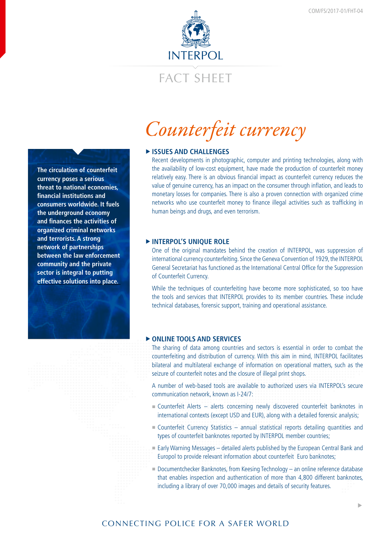

# FACT SHEFT

*Counterfeit currency*

# **FISSUES AND CHALLENGES**

Recent developments in photographic, computer and printing technologies, along with the availability of low-cost equipment, have made the production of counterfeit money relatively easy. There is an obvious financial impact as counterfeit currency reduces the value of genuine currency, has an impact on the consumer through inflation, and leads to monetary losses for companies. There is also a proven connection with organized crime networks who use counterfeit money to finance illegal activities such as trafficking in human beings and drugs, and even terrorism.

# **FINTERPOL'S UNIQUE ROLE**

One of the original mandates behind the creation of INTERPOL, was suppression of international currency counterfeiting. Since the Geneva Convention of 1929, the INTERPOL General Secretariat has functioned as the International Central Office for the Suppression of Counterfeit Currency.

While the techniques of counterfeiting have become more sophisticated, so too have the tools and services that INTERPOL provides to its member countries. These include technical databases, forensic support, training and operational assistance.

#### **F** ONLINE TOOLS AND SERVICES

The sharing of data among countries and sectors is essential in order to combat the counterfeiting and distribution of currency. With this aim in mind, INTERPOL facilitates bilateral and multilateral exchange of information on operational matters, such as the seizure of counterfeit notes and the closure of illegal print shops.

A number of web-based tools are available to authorized users via INTERPOL's secure communication network, known as I-24/7:

- Counterfeit Alerts alerts concerning newly discovered counterfeit banknotes in international contexts (except USD and EUR), along with a detailed forensic analysis;
- Counterfeit Currency Statistics annual statistical reports detailing quantities and types of counterfeit banknotes reported by INTERPOL member countries;
- Early Warning Messages detailed alerts published by the European Central Bank and Europol to provide relevant information about counterfeit Euro banknotes;
- Documentchecker Banknotes, from Keesing Technology an online reference database that enables inspection and authentication of more than 4,800 different banknotes, including a library of over 70,000 images and details of security features.

�

**The circulation of counterfeit currency poses a serious threat to national economies, financial institutions and consumers worldwide. It fuels the underground economy and finances the activities of organized criminal networks and terrorists. A strong network of partnerships between the law enforcement community and the private sector is integral to putting effective solutions into place.**